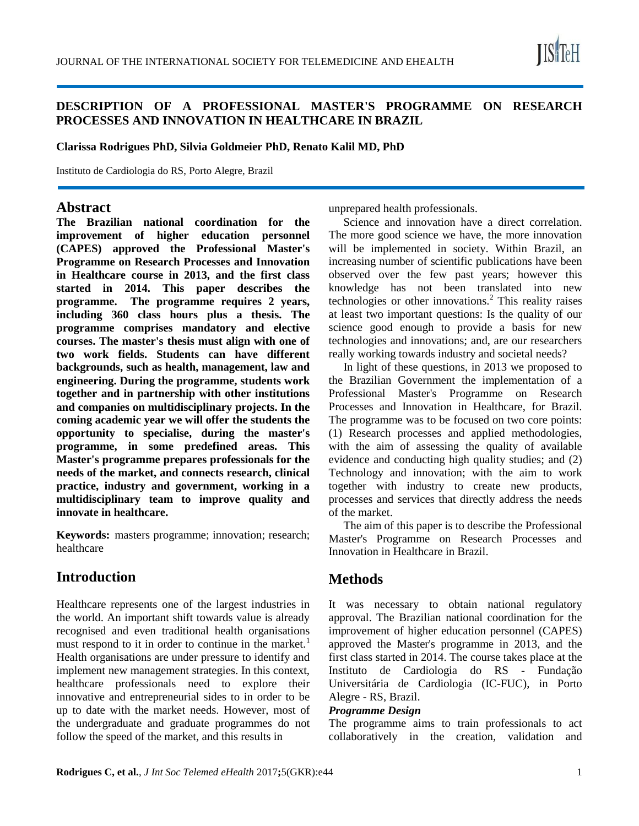

## **DESCRIPTION OF A PROFESSIONAL MASTER'S PROGRAMME ON RESEARCH PROCESSES AND INNOVATION IN HEALTHCARE IN BRAZIL**

**Clarissa Rodrigues PhD, Silvia Goldmeier PhD, Renato Kalil MD, PhD**

Instituto de Cardiologia do RS, Porto Alegre, Brazil

### **Abstract**

**The Brazilian national coordination for the improvement of higher education personnel (CAPES) approved the Professional Master's Programme on Research Processes and Innovation in Healthcare course in 2013, and the first class started in 2014. This paper describes the programme. The programme requires 2 years, including 360 class hours plus a thesis. The programme comprises mandatory and elective courses. The master's thesis must align with one of two work fields. Students can have different backgrounds, such as health, management, law and engineering. During the programme, students work together and in partnership with other institutions and companies on multidisciplinary projects. In the coming academic year we will offer the students the opportunity to specialise, during the master's programme, in some predefined areas. This Master's programme prepares professionals for the needs of the market, and connects research, clinical practice, industry and government, working in a multidisciplinary team to improve quality and innovate in healthcare.**

**Keywords:** masters programme; innovation; research; healthcare

# **Introduction**

Healthcare represents one of the largest industries in the world. An important shift towards value is already recognised and even traditional health organisations must respond to it in order to continue in the market.<sup>1</sup> Health organisations are under pressure to identify and implement new management strategies. In this context, healthcare professionals need to explore their innovative and entrepreneurial sides to in order to be up to date with the market needs. However, most of the undergraduate and graduate programmes do not follow the speed of the market, and this results in

unprepared health professionals.

Science and innovation have a direct correlation. The more good science we have, the more innovation will be implemented in society. Within Brazil, an increasing number of scientific publications have been observed over the few past years; however this knowledge has not been translated into new technologies or other innovations.<sup>2</sup> This reality raises at least two important questions: Is the quality of our science good enough to provide a basis for new technologies and innovations; and, are our researchers really working towards industry and societal needs?

In light of these questions, in 2013 we proposed to the Brazilian Government the implementation of a Professional Master's Programme on Research Processes and Innovation in Healthcare, for Brazil. The programme was to be focused on two core points: (1) Research processes and applied methodologies, with the aim of assessing the quality of available evidence and conducting high quality studies; and (2) Technology and innovation; with the aim to work together with industry to create new products, processes and services that directly address the needs of the market.

The aim of this paper is to describe the Professional Master's Programme on Research Processes and Innovation in Healthcare in Brazil.

# **Methods**

It was necessary to obtain national regulatory approval. The Brazilian national coordination for the improvement of higher education personnel (CAPES) approved the Master's programme in 2013, and the first class started in 2014. The course takes place at the Instituto de Cardiologia do RS - Fundação Universitária de Cardiologia (IC-FUC), in Porto Alegre - RS, Brazil.

#### *Programme Design*

The programme aims to train professionals to act collaboratively in the creation, validation and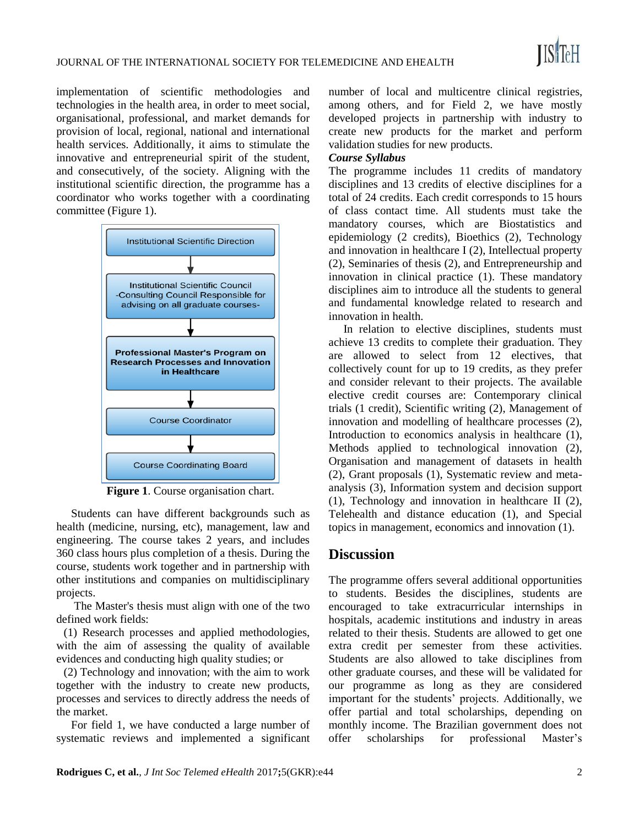implementation of scientific methodologies and technologies in the health area, in order to meet social, organisational, professional, and market demands for provision of local, regional, national and international health services. Additionally, it aims to stimulate the innovative and entrepreneurial spirit of the student, and consecutively, of the society. Aligning with the institutional scientific direction, the programme has a coordinator who works together with a coordinating committee (Figure 1).



**Figure 1**. Course organisation chart.

Students can have different backgrounds such as health (medicine, nursing, etc), management, law and engineering. The course takes 2 years, and includes 360 class hours plus completion of a thesis. During the course, students work together and in partnership with other institutions and companies on multidisciplinary projects.

The Master's thesis must align with one of the two defined work fields:

(1) Research processes and applied methodologies, with the aim of assessing the quality of available evidences and conducting high quality studies; or

(2) Technology and innovation; with the aim to work together with the industry to create new products, processes and services to directly address the needs of the market.

For field 1, we have conducted a large number of systematic reviews and implemented a significant

number of local and multicentre clinical registries, among others, and for Field 2, we have mostly developed projects in partnership with industry to create new products for the market and perform validation studies for new products.

#### *Course Syllabus*

The programme includes 11 credits of mandatory disciplines and 13 credits of elective disciplines for a total of 24 credits. Each credit corresponds to 15 hours of class contact time. All students must take the mandatory courses, which are Biostatistics and epidemiology (2 credits), Bioethics (2), Technology and innovation in healthcare I (2), Intellectual property (2), Seminaries of thesis (2), and Entrepreneurship and innovation in clinical practice (1). These mandatory disciplines aim to introduce all the students to general and fundamental knowledge related to research and innovation in health.

In relation to elective disciplines, students must achieve 13 credits to complete their graduation. They are allowed to select from 12 electives, that collectively count for up to 19 credits, as they prefer and consider relevant to their projects. The available elective credit courses are: Contemporary clinical trials (1 credit), Scientific writing (2), Management of innovation and modelling of healthcare processes (2), Introduction to economics analysis in healthcare (1), Methods applied to technological innovation (2), Organisation and management of datasets in health (2), Grant proposals (1), Systematic review and metaanalysis (3), Information system and decision support (1), Technology and innovation in healthcare II (2), Telehealth and distance education (1), and Special topics in management, economics and innovation (1).

## **Discussion**

The programme offers several additional opportunities to students. Besides the disciplines, students are encouraged to take extracurricular internships in hospitals, academic institutions and industry in areas related to their thesis. Students are allowed to get one extra credit per semester from these activities. Students are also allowed to take disciplines from other graduate courses, and these will be validated for our programme as long as they are considered important for the students' projects. Additionally, we offer partial and total scholarships, depending on monthly income. The Brazilian government does not offer scholarships for professional Master's